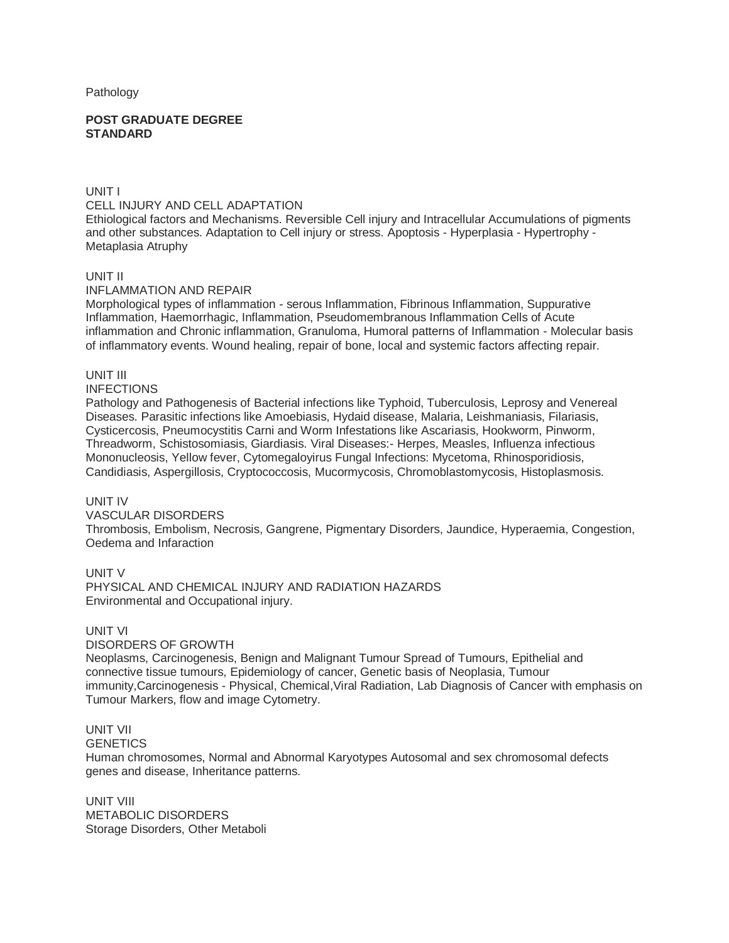Pathology

#### **POST GRADUATE DEGREE STANDARD**

UNIT I CELL INJURY AND CELL ADAPTATION Ethiological factors and Mechanisms. Reversible Cell injury and Intracellular Accumulations of pigments and other substances. Adaptation to Cell injury or stress. Apoptosis - Hyperplasia - Hypertrophy -

# UNIT II

Metaplasia Atruphy

### INFLAMMATION AND REPAIR

Morphological types of inflammation - serous Inflammation, Fibrinous Inflammation, Suppurative Inflammation, Haemorrhagic, Inflammation, Pseudomembranous Inflammation Cells of Acute inflammation and Chronic inflammation, Granuloma, Humoral patterns of Inflammation - Molecular basis of inflammatory events. Wound healing, repair of bone, local and systemic factors affecting repair.

# UNIT III

INFECTIONS

Pathology and Pathogenesis of Bacterial infections like Typhoid, Tuberculosis, Leprosy and Venereal Diseases. Parasitic infections like Amoebiasis, Hydaid disease, Malaria, Leishmaniasis, Filariasis, Cysticercosis, Pneumocystitis Carni and Worm Infestations like Ascariasis, Hookworm, Pinworm, Threadworm, Schistosomiasis, Giardiasis. Viral Diseases:- Herpes, Measles, Influenza infectious Mononucleosis, Yellow fever, Cytomegaloyirus Fungal Infections: Mycetoma, Rhinosporidiosis, Candidiasis, Aspergillosis, Cryptococcosis, Mucormycosis, Chromoblastomycosis, Histoplasmosis.

#### UNIT IV

### VASCULAR DISORDERS Thrombosis, Embolism, Necrosis, Gangrene, Pigmentary Disorders, Jaundice, Hyperaemia, Congestion, Oedema and Infaraction

UNIT V

PHYSICAL AND CHEMICAL INJURY AND RADIATION HAZARDS Environmental and Occupational injury.

# UNIT VI

#### DISORDERS OF GROWTH

Neoplasms, Carcinogenesis, Benign and Malignant Tumour Spread of Tumours, Epithelial and connective tissue tumours, Epidemiology of cancer, Genetic basis of Neoplasia, Tumour immunity, Carcinogenesis - Physical, Chemical, Viral Radiation, Lab Diagnosis of Cancer with emphasis on Tumour Markers, flow and image Cytometry.

# UNIT VII

**GENETICS** 

Human chromosomes, Normal and Abnormal Karyotypes Autosomal and sex chromosomal defects genes and disease, Inheritance patterns.

UNIT VIII METABOLIC DISORDERS Storage Disorders, Other Metaboli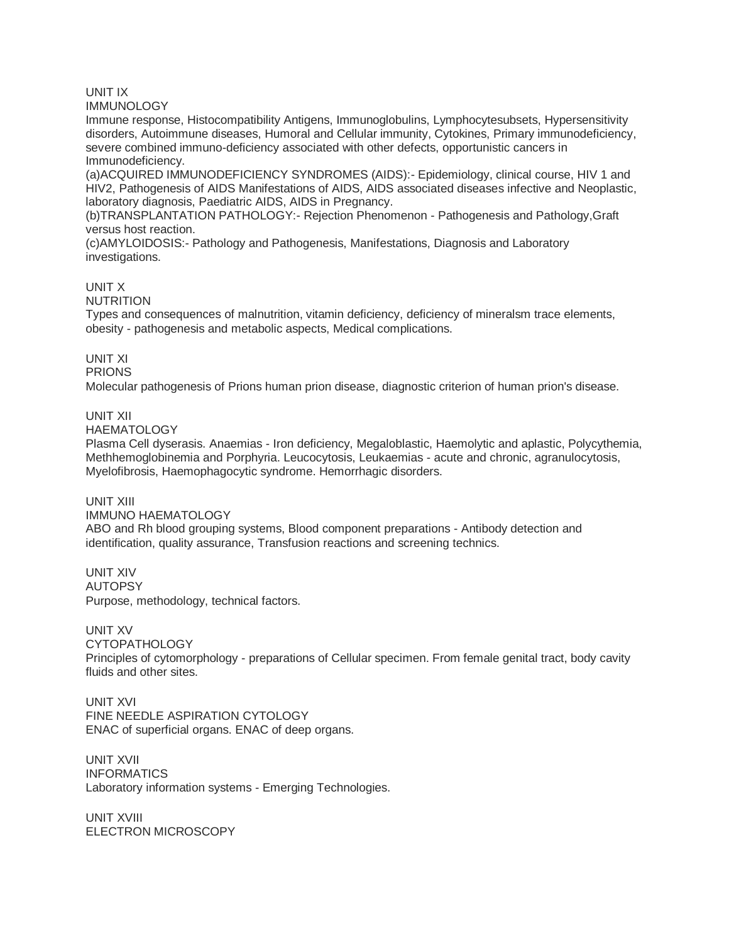# UNIT IX

**IMMUNOLOGY** 

Immune response, Histocompatibility Antigens, Immunoglobulins, Lymphocytesubsets, Hypersensitivity disorders, Autoimmune diseases, Humoral and Cellular immunity, Cytokines, Primary immunodeficiency, severe combined immuno-deficiency associated with other defects, opportunistic cancers in Immunodeficiency.

(a)ACQUIRED IMMUNODEFICIENCY SYNDROMES (AIDS):- Epidemiology, clinical course, HIV 1 and HIV2, Pathogenesis of AIDS Manifestations of AIDS, AIDS associated diseases infective and Neoplastic, laboratory diagnosis, Paediatric AIDS, AIDS in Pregnancy.

(b)TRANSPLANTATION PATHOLOGY:- Rejection Phenomenon - Pathogenesis and Pathology,Graft versus host reaction.

(c)AMYLOIDOSIS:- Pathology and Pathogenesis, Manifestations, Diagnosis and Laboratory investigations.

UNIT X

NUTRITION

Types and consequences of malnutrition, vitamin deficiency, deficiency of mineralsm trace elements, obesity - pathogenesis and metabolic aspects, Medical complications.

# UNIT XI

PRIONS

Molecular pathogenesis of Prions human prion disease, diagnostic criterion of human prion's disease.

# UNIT XII

**HAEMATOLOGY** 

Plasma Cell dyserasis. Anaemias - Iron deficiency, Megaloblastic, Haemolytic and aplastic, Polycythemia, Methhemoglobinemia and Porphyria. Leucocytosis, Leukaemias - acute and chronic, agranulocytosis, Myelofibrosis, Haemophagocytic syndrome. Hemorrhagic disorders.

#### UNIT XIII

#### IMMUNO HAEMATOLOGY

ABO and Rh blood grouping systems, Blood component preparations - Antibody detection and identification, quality assurance, Transfusion reactions and screening technics.

UNIT XIV AUTOPSY Purpose, methodology, technical factors.

UNIT XV

CYTOPATHOLOGY

Principles of cytomorphology - preparations of Cellular specimen. From female genital tract, body cavity fluids and other sites.

UNIT XVI FINE NEEDLE ASPIRATION CYTOLOGY ENAC of superficial organs. ENAC of deep organs.

UNIT XVII INFORMATICS Laboratory information systems - Emerging Technologies.

UNIT XVIII ELECTRON MICROSCOPY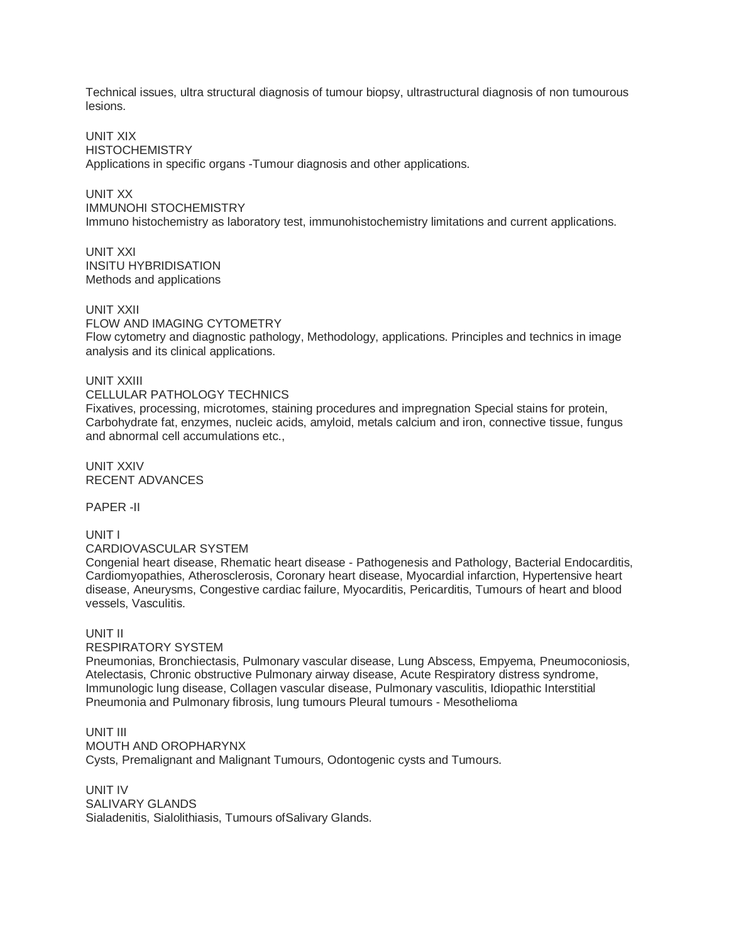Technical issues, ultra structural diagnosis of tumour biopsy, ultrastructural diagnosis of non tumourous lesions.

UNIT XIX **HISTOCHEMISTRY** Applications in specific organs -Tumour diagnosis and other applications.

UNIT XX IMMUNOHI STOCHEMISTRY Immuno histochemistry as laboratory test, immunohistochemistry limitations and current applications.

UNIT XXI INSITU HYBRIDISATION Methods and applications

UNIT XXII

FLOW AND IMAGING CYTOMETRY

Flow cytometry and diagnostic pathology, Methodology, applications. Principles and technics in image analysis and its clinical applications.

UNIT XXIII

CELLULAR PATHOLOGY TECHNICS

Fixatives, processing, microtomes, staining procedures and impregnation Special stains for protein, Carbohydrate fat, enzymes, nucleic acids, amyloid, metals calcium and iron, connective tissue, fungus and abnormal cell accumulations etc.,

UNIT XXIV RECENT ADVANCES

PAPER -II

UNIT I

CARDIOVASCULAR SYSTEM

Congenial heart disease, Rhematic heart disease - Pathogenesis and Pathology, Bacterial Endocarditis, Cardiomyopathies, Atherosclerosis, Coronary heart disease, Myocardial infarction, Hypertensive heart disease, Aneurysms, Congestive cardiac failure, Myocarditis, Pericarditis, Tumours of heart and blood vessels, Vasculitis.

# UNIT II

RESPIRATORY SYSTEM

Pneumonias, Bronchiectasis, Pulmonary vascular disease, Lung Abscess, Empyema, Pneumoconiosis, Atelectasis, Chronic obstructive Pulmonary airway disease, Acute Respiratory distress syndrome, Immunologic lung disease, Collagen vascular disease, Pulmonary vasculitis, Idiopathic Interstitial Pneumonia and Pulmonary fibrosis, lung tumours Pleural tumours - Mesothelioma

UNIT III MOUTH AND OROPHARYNX Cysts, Premalignant and Malignant Tumours, Odontogenic cysts and Tumours.

UNIT IV SALIVARY GLANDS Sialadenitis, Sialolithiasis, Tumours ofSalivary Glands.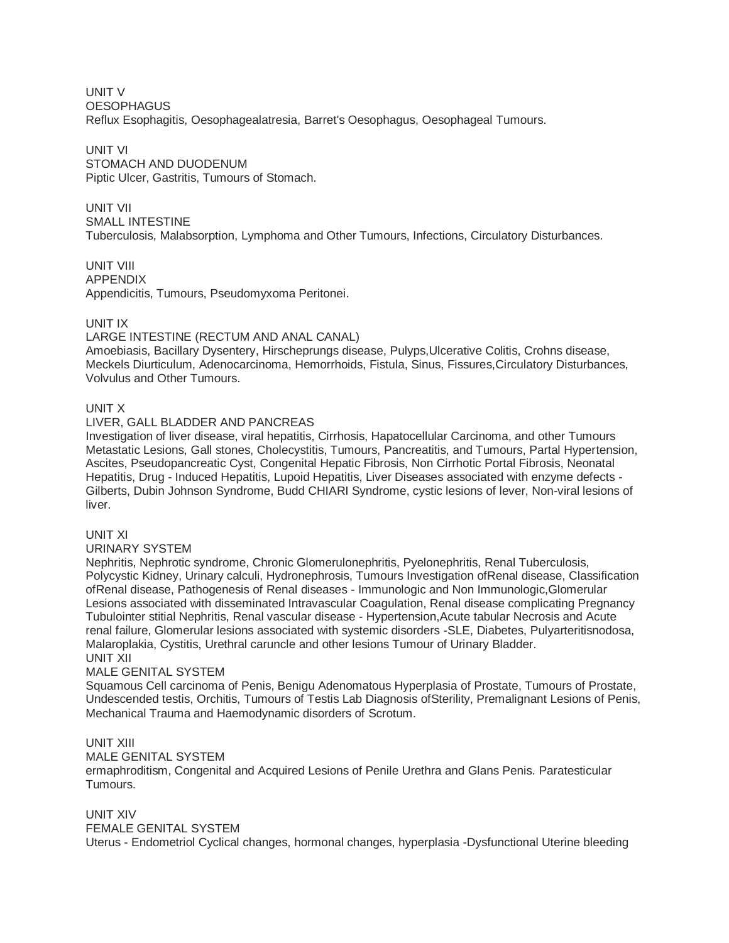UNIT V **OESOPHAGUS** Reflux Esophagitis, Oesophagealatresia, Barret's Oesophagus, Oesophageal Tumours.

UNIT VI STOMACH AND DUODENUM Piptic Ulcer, Gastritis, Tumours of Stomach.

UNIT VII SMALL INTESTINE Tuberculosis, Malabsorption, Lymphoma and Other Tumours, Infections, Circulatory Disturbances.

UNIT VIII APPENDIX Appendicitis, Tumours, Pseudomyxoma Peritonei.

# UNIT IX

# LARGE INTESTINE (RECTUM AND ANAL CANAL)

Amoebiasis, Bacillary Dysentery, Hirscheprungs disease, Pulyps,Ulcerative Colitis, Crohns disease, Meckels Diurticulum, Adenocarcinoma, Hemorrhoids, Fistula, Sinus, Fissures,Circulatory Disturbances, Volvulus and Other Tumours.

# UNIT X

# LIVER, GALL BLADDER AND PANCREAS

Investigation of liver disease, viral hepatitis, Cirrhosis, Hapatocellular Carcinoma, and other Tumours Metastatic Lesions, Gall stones, Cholecystitis, Tumours, Pancreatitis, and Tumours, Partal Hypertension, Ascites, Pseudopancreatic Cyst, Congenital Hepatic Fibrosis, Non Cirrhotic Portal Fibrosis, Neonatal Hepatitis, Drug - Induced Hepatitis, Lupoid Hepatitis, Liver Diseases associated with enzyme defects - Gilberts, Dubin Johnson Syndrome, Budd CHIARI Syndrome, cystic lesions of lever, Non-viral lesions of liver.

UNIT XI

URINARY SYSTEM

Nephritis, Nephrotic syndrome, Chronic Glomerulonephritis, Pyelonephritis, Renal Tuberculosis, Polycystic Kidney, Urinary calculi, Hydronephrosis, Tumours Investigation ofRenal disease, Classification ofRenal disease, Pathogenesis of Renal diseases - Immunologic and Non Immunologic,Glomerular Lesions associated with disseminated Intravascular Coagulation, Renal disease complicating Pregnancy Tubulointer stitial Nephritis, Renal vascular disease - Hypertension,Acute tabular Necrosis and Acute renal failure, Glomerular lesions associated with systemic disorders -SLE, Diabetes, Pulyarteritisnodosa, Malaroplakia, Cystitis, Urethral caruncle and other lesions Tumour of Urinary Bladder. UNIT XII

# MALE GENITAL SYSTEM

Squamous Cell carcinoma of Penis, Benigu Adenomatous Hyperplasia of Prostate, Tumours of Prostate, Undescended testis, Orchitis, Tumours of Testis Lab Diagnosis ofSterility, Premalignant Lesions of Penis, Mechanical Trauma and Haemodynamic disorders of Scrotum.

# UNIT XIII

# MALE GENITAL SYSTEM

ermaphroditism, Congenital and Acquired Lesions of Penile Urethra and Glans Penis. Paratesticular Tumours.

# UNIT XIV

# FEMALE GENITAL SYSTEM

Uterus - Endometriol Cyclical changes, hormonal changes, hyperplasia -Dysfunctional Uterine bleeding